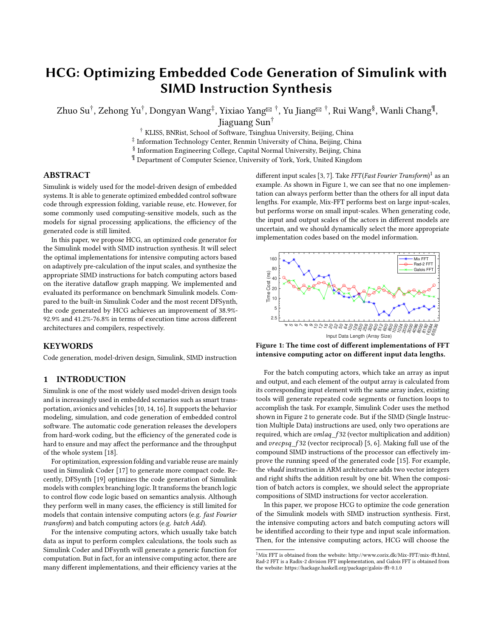# HCG: Optimizing Embedded Code Generation of Simulink with SIMD Instruction Synthesis

Zhuo Su<sup>†</sup>, Zehong Yu<sup>†</sup>, Dongyan Wang<sup>‡</sup>, Yixiao Yang<sup>⊠†</sup>, Yu Jiang<sup>⊠†</sup>, Rui Wang<sup>§</sup>, Wanli Chang<sup>¶</sup>,

Jiaguang Sun†

† KLISS, BNRist, School of Software, Tsinghua University, Beijing, China

‡ Information Technology Center, Renmin University of China, Beijing, China

§ Information Engineering College, Capital Normal University, Beijing, China

¶ Department of Computer Science, University of York, York, United Kingdom

# ABSTRACT

Simulink is widely used for the model-driven design of embedded systems. It is able to generate optimized embedded control software code through expression folding, variable reuse, etc. However, for some commonly used computing-sensitive models, such as the models for signal processing applications, the efficiency of the generated code is still limited.

In this paper, we propose HCG, an optimized code generator for the Simulink model with SIMD instruction synthesis. It will select the optimal implementations for intensive computing actors based on adaptively pre-calculation of the input scales, and synthesize the appropriate SIMD instructions for batch computing actors based on the iterative dataflow graph mapping. We implemented and evaluated its performance on benchmark Simulink models. Compared to the built-in Simulink Coder and the most recent DFSynth, the code generated by HCG achieves an improvement of 38.9%- 92.9% and 41.2%-76.8% in terms of execution time across different architectures and compilers, respectively.

## **KEYWORDS**

Code generation, model-driven design, Simulink, SIMD instruction

### 1 INTRODUCTION

Simulink is one of the most widely used model-driven design tools and is increasingly used in embedded scenarios such as smart transportation, avionics and vehicles [\[10,](#page-5-0) [14,](#page-5-1) [16\]](#page-5-2). It supports the behavior modeling, simulation, and code generation of embedded control software. The automatic code generation releases the developers from hard-work coding, but the efficiency of the generated code is hard to ensure and may affect the performance and the throughput of the whole system [\[18\]](#page-5-3).

For optimization, expression folding and variable reuse are mainly used in Simulink Coder [\[17\]](#page-5-4) to generate more compact code. Recently, DFSynth [\[19\]](#page-5-5) optimizes the code generation of Simulink models with complex branching logic. It transforms the branch logic to control flow code logic based on semantics analysis. Although they perform well in many cases, the efficiency is still limited for models that contain intensive computing actors (e.g. fast Fourier transform) and batch computing actors (e.g. batch Add).

For the intensive computing actors, which usually take batch data as input to perform complex calculations, the tools such as Simulink Coder and DFsynth will generate a generic function for computation. But in fact, for an intensive computing actor, there are many different implementations, and their efficiency varies at the

different input scales [\[3,](#page-5-6) [7\]](#page-5-7). Take  $FFT(Fast \ Fourier \ Transform]$ <sup>[1](#page-0-0)</sup> as an example. As shown in Figure [1,](#page-0-1) we can see that no one implementation can always perform better than the others for all input data lengths. For example, Mix-FFT performs best on large input-scales, but performs worse on small input-scales. When generating code, the input and output scales of the actors in different models are uncertain, and we should dynamically select the more appropriate implementation codes based on the model information.

<span id="page-0-1"></span>

Figure 1: The time cost of different implementations of FFT intensive computing actor on different input data lengths.

For the batch computing actors, which take an array as input and output, and each element of the output array is calculated from its corresponding input element with the same array index, existing tools will generate repeated code segments or function loops to accomplish the task. For example, Simulink Coder uses the method shown in Figure [2](#page-1-0) to generate code. But if the SIMD (Single Instruction Multiple Data) instructions are used, only two operations are required, which are  $vmlaq_f32$  (vector multiplication and addition) and  $\text{vrecps}q_{f}32$  (vector reciprocal) [\[5,](#page-5-8) [6\]](#page-5-9). Making full use of the compound SIMD instructions of the processor can effectively improve the running speed of the generated code [\[15\]](#page-5-10). For example, the vhadd instruction in ARM architecture adds two vector integers and right shifts the addition result by one bit. When the composition of batch actors is complex, we should select the appropriate compositions of SIMD instructions for vector acceleration.

In this paper, we propose HCG to optimize the code generation of the Simulink models with SIMD instruction synthesis. First, the intensive computing actors and batch computing actors will be identified according to their type and input scale information. Then, for the intensive computing actors, HCG will choose the

<span id="page-0-0"></span> $1$ Mix FFT is obtained from the website: [http://www.corix.dk/Mix-FFT/mix-fft.html,](http://www.corix.dk/Mix-FFT/mix-fft.html) Rad-2 FFT is a Radix-2 division FFT implementation, and Galois FFT is obtained from the website:<https://hackage.haskell.org/package/galois-fft-0.1.0>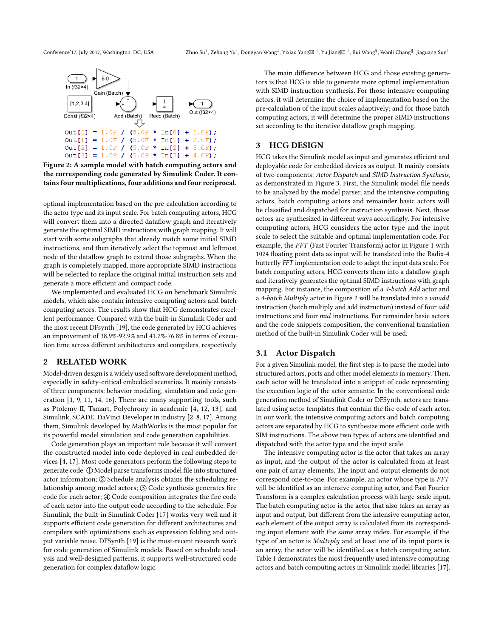<span id="page-1-0"></span>

Figure 2: A sample model with batch computing actors and the corresponding code generated by Simulink Coder. It contains four multiplications, four additions and four reciprocal.

optimal implementation based on the pre-calculation according to the actor type and its input scale. For batch computing actors, HCG will convert them into a directed dataflow graph and iteratively generate the optimal SIMD instructions with graph mapping. It will start with some subgraphs that already match some initial SIMD instructions, and then iteratively select the topmost and leftmost node of the dataflow graph to extend those subgraphs. When the graph is completely mapped, more appropriate SIMD instructions will be selected to replace the original initial instruction sets and generate a more efficient and compact code.

We implemented and evaluated HCG on benchmark Simulink models, which also contain intensive computing actors and batch computing actors. The results show that HCG demonstrates excellent performance. Compared with the built-in Simulink Coder and the most recent DFsynth [\[19\]](#page-5-5), the code generated by HCG achieves an improvement of 38.9%-92.9% and 41.2%-76.8% in terms of execution time across different architectures and compilers, respectively.

## 2 RELATED WORK

Model-driven design is a widely used software development method, especially in safety-critical embedded scenarios. It mainly consists of three components: behavior modeling, simulation and code generation [\[1,](#page-5-11) [9,](#page-5-12) [11,](#page-5-13) [14,](#page-5-1) [16\]](#page-5-2). There are many supporting tools, such as Ptolemy-II, Tsmart, Polychrony in academic [\[4,](#page-5-14) [12,](#page-5-15) [13\]](#page-5-16), and Simulink, SCADE, DaVinci Developer in industry [\[2,](#page-5-17) [8,](#page-5-18) [17\]](#page-5-4). Among them, Simulink developed by MathWorks is the most popular for its powerful model simulation and code generation capabilities.

Code generation plays an important role because it will convert the constructed model into code deployed in real embedded devices [\[4,](#page-5-14) [17\]](#page-5-4). Most code generators perform the following steps to generate code: 1 Model parse transforms model file into structured actor information; 2 Schedule analysis obtains the scheduling relationship among model actors; 3 Code synthesis generates fire code for each actor; 4 Code composition integrates the fire code of each actor into the output code according to the schedule. For Simulink, the built-in Simulink Coder [\[17\]](#page-5-4) works very well and it supports efficient code generation for different architectures and compilers with optimizations such as expression folding and output variable reuse. DFSynth [\[19\]](#page-5-5) is the most-recent research work for code generation of Simulink models. Based on schedule analysis and well-designed patterns, it supports well-structured code generation for complex dataflow logic.

The main difference between HCG and those existing generators is that HCG is able to generate more optimal implementation with SIMD instruction synthesis. For those intensive computing actors, it will determine the choice of implementation based on the pre-calculation of the input scales adaptively; and for those batch computing actors, it will determine the proper SIMD instructions set according to the iterative dataflow graph mapping.

# 3 HCG DESIGN

HCG takes the Simulink model as input and generates efficient and deployable code for embedded devices as output. It mainly consists of two components: Actor Dispatch and SIMD Instruction Synthesis, as demonstrated in Figure [3.](#page-2-0) First, the Simulink model file needs to be analyzed by the model parser, and the intensive computing actors, batch computing actors and remainder basic actors will be classified and dispatched for instruction synthesis. Next, those actors are synthesized in different ways accordingly. For intensive computing actors, HCG considers the actor type and the input scale to select the suitable and optimal implementation code. For example, the FFT (Fast Fourier Transform) actor in Figure [1](#page-0-1) with 1024 floating point data as input will be translated into the Radix-4 butterfly FFT implementation code to adapt the input data scale. For batch computing actors, HCG converts them into a dataflow graph and iteratively generates the optimal SIMD instructions with graph mapping. For instance, the composition of a 4-batch Add actor and a 4-batch Multiply actor in Figure [2](#page-1-0) will be translated into a vmadd instruction (batch multiply and add instruction) instead of four add instructions and four *mul* instructions. For remainder basic actors and the code snippets composition, the conventional translation method of the built-in Simulink Coder will be used.

#### 3.1 Actor Dispatch

For a given Simulink model, the first step is to parse the model into structured actors, ports and other model elements in memory. Then, each actor will be translated into a snippet of code representing the execution logic of the actor semantic. In the conventional code generation method of Simulink Coder or DFSynth, actors are translated using actor templates that contain the fire code of each actor. In our work, the intensive computing actors and batch computing actors are separated by HCG to synthesize more efficient code with SIM instructions. The above two types of actors are identified and dispatched with the actor type and the input scale.

The intensive computing actor is the actor that takes an array as input, and the output of the actor is calculated from at least one pair of array elements. The input and output elements do not correspond one-to-one. For example, an actor whose type is FFT will be identified as an intensive computing actor, and Fast Fourier Transform is a complex calculation process with large-scale input. The batch computing actor is the actor that also takes an array as input and output, but different from the intensive computing actor, each element of the output array is calculated from its corresponding input element with the same array index. For example, if the type of an actor is Multiply and at least one of its input ports is an array, the actor will be identified as a batch computing actor. Table [1](#page-2-1) demonstrates the most frequently used intensive computing actors and batch computing actors in Simulink model libraries [\[17\]](#page-5-4).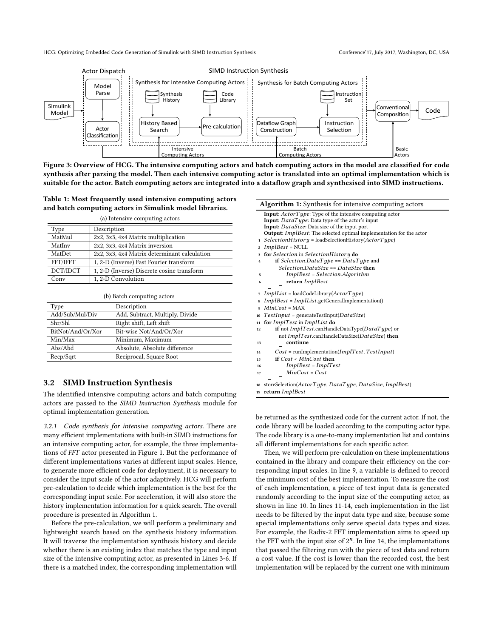<span id="page-2-0"></span>

Figure 3: Overview of HCG. The intensive computing actors and batch computing actors in the model are classified for code synthesis after parsing the model. Then each intensive computing actor is translated into an optimal implementation which is suitable for the actor. Batch computing actors are integrated into a dataflow graph and synthesised into SIMD instructions.

<span id="page-2-1"></span>Table 1: Most frequently used intensive computing actors and batch computing actors in Simulink model libraries. (a) Intensive computing actors

| Type     | Description                                  |  |  |  |
|----------|----------------------------------------------|--|--|--|
| MatMul   | 2x2, 3x3, 4x4 Matrix multiplication          |  |  |  |
| MatInv   | 2x2, 3x3, 4x4 Matrix inversion               |  |  |  |
| MatDet   | 2x2, 3x3, 4x4 Matrix determinant calculation |  |  |  |
| FFT/IFFT | 1, 2-D (Inverse) Fast Fourier transform      |  |  |  |
| DCT/IDCT | 1, 2-D (Inverse) Discrete cosine transform   |  |  |  |
| Conv     | 1, 2-D Convolution                           |  |  |  |

(b) Batch computing actors Type Description Add/Sub/Mul/Div Add, Subtract, Multiply, Divide Shr/Shl Right shift, Left shift BitNot/And/Or/Xor Bit-wise Not/And/Or/Xor Min/Max Minimum, Maximum Abs/Abd Absolute, Absolute difference Recp/Sqrt Reciprocal, Square Root

#### 3.2 SIMD Instruction Synthesis

The identified intensive computing actors and batch computing actors are passed to the SIMD Instruction Synthesis module for optimal implementation generation.

3.2.1 Code synthesis for intensive computing actors. There are many efficient implementations with built-in SIMD instructions for an intensive computing actor, for example, the three implementations of FFT actor presented in Figure [1.](#page-0-1) But the performance of different implementations varies at different input scales. Hence, to generate more efficient code for deployment, it is necessary to consider the input scale of the actor adaptively. HCG will perform pre-calculation to decide which implementation is the best for the corresponding input scale. For acceleration, it will also store the history implementation information for a quick search. The overall procedure is presented in Algorithm [1.](#page-2-2)

Before the pre-calculation, we will perform a preliminary and lightweight search based on the synthesis history information. It will traverse the implementation synthesis history and decide whether there is an existing index that matches the type and input size of the intensive computing actor, as presented in Lines 3-6. If there is a matched index, the corresponding implementation will

<span id="page-2-2"></span>

| Algorithm 1: Synthesis for intensive computing actors                      |  |  |  |  |
|----------------------------------------------------------------------------|--|--|--|--|
| <b>Input:</b> $ActionType$ : Type of the intensive computing actor         |  |  |  |  |
| <b>Input:</b> DataType: Data type of the actor's input                     |  |  |  |  |
| Input: DataSize: Data size of the input port                               |  |  |  |  |
| <b>Output:</b> ImplBest: The selected optimal implementation for the actor |  |  |  |  |
| $SelectionHistory = loadSelectionHistory(Actor Type)$<br>1                 |  |  |  |  |
| $ImplBest = NULL$<br>$\bf{2}$                                              |  |  |  |  |
| for Selection in SelectionHistory do<br>3                                  |  |  |  |  |
| if Selection.DataType == $DataType$ and<br>4                               |  |  |  |  |
| $SelectionDataSize = DataSize$ then                                        |  |  |  |  |
| $ImplBest = Selection Algorithm$<br>5                                      |  |  |  |  |
| return ImplBest<br>6                                                       |  |  |  |  |
|                                                                            |  |  |  |  |
| $ImplList = loadCodeLibrary(ActorType)$<br>7                               |  |  |  |  |
| $ImplBest = ImplList.getGeneralImplementation()$<br>8                      |  |  |  |  |
| $MinCost = MAX$<br>9                                                       |  |  |  |  |
| $TestInput = generateTestInput (DataSize)$<br>10                           |  |  |  |  |
| for ImplTest in ImplList do<br>11                                          |  |  |  |  |
| if not $ImplTest$ canHandleDataType( $DataType$ ) or<br>12                 |  |  |  |  |
| not ImplTest.canHandleDataSize(DataSize) then                              |  |  |  |  |
| continue<br>13                                                             |  |  |  |  |
| $Cost = runImplementation(ImplTest, TestInput)$<br>14                      |  |  |  |  |
| if Cost < MinCost then<br>15                                               |  |  |  |  |
| $ImplBest = ImplTest$<br>16                                                |  |  |  |  |
| $MinCost = Cost$<br>17                                                     |  |  |  |  |
| storeSelection(ActorType, DataType, DataSize, ImplBest)<br>18              |  |  |  |  |
| return ImplBest<br>19                                                      |  |  |  |  |

be returned as the synthesized code for the current actor. If not, the code library will be loaded according to the computing actor type. The code library is a one-to-many implementation list and contains all different implementations for each specific actor.

Then, we will perform pre-calculation on these implementations contained in the library and compare their efficiency on the corresponding input scales. In line 9, a variable is defined to record the minimum cost of the best implementation. To measure the cost of each implementation, a piece of test input data is generated randomly according to the input size of the computing actor, as shown in line 10. In lines 11-14, each implementation in the list needs to be filtered by the input data type and size, because some special implementations only serve special data types and sizes. For example, the Radix-2 FFT implementation aims to speed up the FFT with the input size of  $2^n$ . In line 14, the implementations that passed the filtering run with the piece of test data and return a cost value. If the cost is lower than the recorded cost, the best implementation will be replaced by the current one with minimum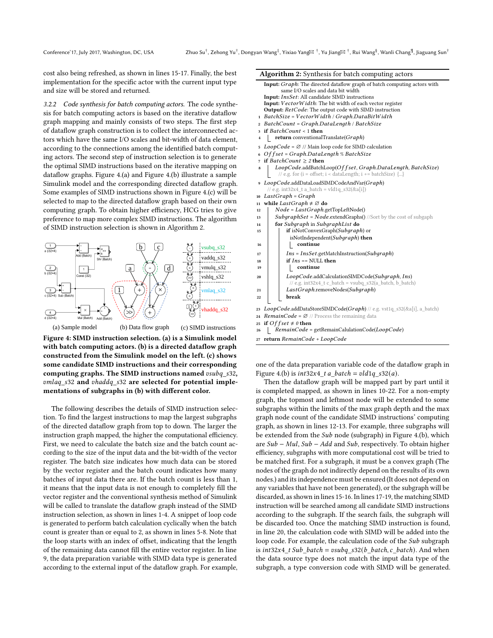cost also being refreshed, as shown in lines 15-17. Finally, the best implementation for the specific actor with the current input type and size will be stored and returned.

3.2.2 Code synthesis for batch computing actors. The code synthesis for batch computing actors is based on the iterative dataflow graph mapping and mainly consists of two steps. The first step of dataflow graph construction is to collect the interconnected actors which have the same I/O scales and bit-width of data element, according to the connections among the identified batch computing actors. The second step of instruction selection is to generate the optimal SIMD instructions based on the iterative mapping on dataflow graphs. Figure [4.](#page-3-0)(a) and Figure [4.](#page-3-0)(b) illustrate a sample Simulink model and the corresponding directed dataflow graph. Some examples of SIMD instructions shown in Figure [4.](#page-3-0)(c) will be selected to map to the directed dataflow graph based on their own computing graph. To obtain higher efficiency, HCG tries to give preference to map more complex SIMD instructions. The algorithm of SIMD instruction selection is shown in Algorithm [2.](#page-3-1)

<span id="page-3-0"></span>

Figure 4: SIMD instruction selection. (a) is a Simulink model with batch computing actors. (b) is a directed dataflow graph constructed from the Simulink model on the left. (c) shows some candidate SIMD instructions and their corresponding computing graphs. The SIMD instructions named  $vsubq_s32$ ,  $vmlaq_s32$  and  $vhaddq_s32$  are selected for potential implementations of subgraphs in (b) with different color.

The following describes the details of SIMD instruction selection. To find the largest instructions to map the largest subgraphs of the directed dataflow graph from top to down. The larger the instruction graph mapped, the higher the computational efficiency. First, we need to calculate the batch size and the batch count according to the size of the input data and the bit-width of the vector register. The batch size indicates how much data can be stored by the vector register and the batch count indicates how many batches of input data there are. If the batch count is less than 1, it means that the input data is not enough to completely fill the vector register and the conventional synthesis method of Simulink will be called to translate the dataflow graph instead of the SIMD instruction selection, as shown in lines 1-4. A snippet of loop code is generated to perform batch calculation cyclically when the batch count is greater than or equal to 2, as shown in lines 5-8. Note that the loop starts with an index of offset, indicating that the length of the remaining data cannot fill the entire vector register. In line 9, the data preparation variable with SIMD data type is generated according to the external input of the dataflow graph. For example,

Algorithm 2: Synthesis for batch computing actors

<span id="page-3-1"></span>

| Input: Graph: The directed dataflow graph of batch computing actors with<br>same I/O scales and data bit width<br><b>Input:</b> <i>InsSet</i> : All candidate SIMD instructions<br><b>Input:</b> Vector Width: The bit width of each vector register<br><b>Output:</b> RetCode: The output code with SIMD instruction<br>1 BatchSize = VectorWidth / Graph.DataBitWidth<br>$2$ BatchCount = Graph.DataLength / BatchSize<br>3 if BatchCount < 1 then<br><b>return</b> conventionalTranslate(Graph)<br>4<br>5 <i>LoopCode</i> = $\varnothing$ // Main loop code for SIMD calculation<br>6 Offset = Graph.DataLength % BatchSize<br>7 if BatchCount $\geq$ 2 then<br>LoopCode.addBatchLoop(Offset, Graph.DataLength, BatchSize)<br>8<br>// e.g. for ( $i =$ offset; $i <$ dataLength; $i +$ = batchSize) {}<br>9 LoopCode.addDataLoadSIMDCodeAndVar(Graph)<br>// e.g. $int32x4_t$ a batch = vld1q_s32(&a[i])<br>10 LastGraph = Graph<br>11 while LastGraph $\neq \emptyset$ do<br>Node = LastGraph.getTopLeftNode()<br>12<br>$SubgraphSet = Node.$ extend Graphs() //Sort by the cost of subgaph<br>13<br>for Subgraph in SubgraphList do<br>14<br><b>if</b> isNotConvexGraph(Subgraph) or<br>15<br>isNotIndependent(Subgraph) then<br>continue<br>$Ins = InsSet.getMatchInstruction(Subgraph)$<br>if $Ins == NULL$ then<br>continue<br>LoopCode.addCalculationSIMDCode(Subgraph, Ins)<br>20<br>// e.g. int32x4 t c batch = $vsubq$ s32(a batch, b batch)<br>LastGraph.removeNodes(Subgraph)<br>21<br>break<br>23 LoopCode.addDataStoreSIMDCode(Graph) // e.g. vst1q_s32(&a[i], a_batch)<br><b>24</b> RemainCode = $\varnothing$ // Process the remaining data<br>25 if $Offset \neq 0$ then<br>$RemainCode = getRemainCalulationCode(LoopCode)$ |    | -,-------- --- ------ ---<br>-- 0 -- - - - |  |  |  |  |
|------------------------------------------------------------------------------------------------------------------------------------------------------------------------------------------------------------------------------------------------------------------------------------------------------------------------------------------------------------------------------------------------------------------------------------------------------------------------------------------------------------------------------------------------------------------------------------------------------------------------------------------------------------------------------------------------------------------------------------------------------------------------------------------------------------------------------------------------------------------------------------------------------------------------------------------------------------------------------------------------------------------------------------------------------------------------------------------------------------------------------------------------------------------------------------------------------------------------------------------------------------------------------------------------------------------------------------------------------------------------------------------------------------------------------------------------------------------------------------------------------------------------------------------------------------------------------------------------------------------------------------------------------------------------------------------------------------------------------------------------|----|--------------------------------------------|--|--|--|--|
|                                                                                                                                                                                                                                                                                                                                                                                                                                                                                                                                                                                                                                                                                                                                                                                                                                                                                                                                                                                                                                                                                                                                                                                                                                                                                                                                                                                                                                                                                                                                                                                                                                                                                                                                                |    |                                            |  |  |  |  |
|                                                                                                                                                                                                                                                                                                                                                                                                                                                                                                                                                                                                                                                                                                                                                                                                                                                                                                                                                                                                                                                                                                                                                                                                                                                                                                                                                                                                                                                                                                                                                                                                                                                                                                                                                |    |                                            |  |  |  |  |
|                                                                                                                                                                                                                                                                                                                                                                                                                                                                                                                                                                                                                                                                                                                                                                                                                                                                                                                                                                                                                                                                                                                                                                                                                                                                                                                                                                                                                                                                                                                                                                                                                                                                                                                                                |    |                                            |  |  |  |  |
|                                                                                                                                                                                                                                                                                                                                                                                                                                                                                                                                                                                                                                                                                                                                                                                                                                                                                                                                                                                                                                                                                                                                                                                                                                                                                                                                                                                                                                                                                                                                                                                                                                                                                                                                                |    |                                            |  |  |  |  |
|                                                                                                                                                                                                                                                                                                                                                                                                                                                                                                                                                                                                                                                                                                                                                                                                                                                                                                                                                                                                                                                                                                                                                                                                                                                                                                                                                                                                                                                                                                                                                                                                                                                                                                                                                |    |                                            |  |  |  |  |
|                                                                                                                                                                                                                                                                                                                                                                                                                                                                                                                                                                                                                                                                                                                                                                                                                                                                                                                                                                                                                                                                                                                                                                                                                                                                                                                                                                                                                                                                                                                                                                                                                                                                                                                                                |    |                                            |  |  |  |  |
|                                                                                                                                                                                                                                                                                                                                                                                                                                                                                                                                                                                                                                                                                                                                                                                                                                                                                                                                                                                                                                                                                                                                                                                                                                                                                                                                                                                                                                                                                                                                                                                                                                                                                                                                                |    |                                            |  |  |  |  |
|                                                                                                                                                                                                                                                                                                                                                                                                                                                                                                                                                                                                                                                                                                                                                                                                                                                                                                                                                                                                                                                                                                                                                                                                                                                                                                                                                                                                                                                                                                                                                                                                                                                                                                                                                |    |                                            |  |  |  |  |
|                                                                                                                                                                                                                                                                                                                                                                                                                                                                                                                                                                                                                                                                                                                                                                                                                                                                                                                                                                                                                                                                                                                                                                                                                                                                                                                                                                                                                                                                                                                                                                                                                                                                                                                                                |    |                                            |  |  |  |  |
|                                                                                                                                                                                                                                                                                                                                                                                                                                                                                                                                                                                                                                                                                                                                                                                                                                                                                                                                                                                                                                                                                                                                                                                                                                                                                                                                                                                                                                                                                                                                                                                                                                                                                                                                                |    |                                            |  |  |  |  |
|                                                                                                                                                                                                                                                                                                                                                                                                                                                                                                                                                                                                                                                                                                                                                                                                                                                                                                                                                                                                                                                                                                                                                                                                                                                                                                                                                                                                                                                                                                                                                                                                                                                                                                                                                |    |                                            |  |  |  |  |
|                                                                                                                                                                                                                                                                                                                                                                                                                                                                                                                                                                                                                                                                                                                                                                                                                                                                                                                                                                                                                                                                                                                                                                                                                                                                                                                                                                                                                                                                                                                                                                                                                                                                                                                                                |    |                                            |  |  |  |  |
|                                                                                                                                                                                                                                                                                                                                                                                                                                                                                                                                                                                                                                                                                                                                                                                                                                                                                                                                                                                                                                                                                                                                                                                                                                                                                                                                                                                                                                                                                                                                                                                                                                                                                                                                                |    |                                            |  |  |  |  |
|                                                                                                                                                                                                                                                                                                                                                                                                                                                                                                                                                                                                                                                                                                                                                                                                                                                                                                                                                                                                                                                                                                                                                                                                                                                                                                                                                                                                                                                                                                                                                                                                                                                                                                                                                |    |                                            |  |  |  |  |
|                                                                                                                                                                                                                                                                                                                                                                                                                                                                                                                                                                                                                                                                                                                                                                                                                                                                                                                                                                                                                                                                                                                                                                                                                                                                                                                                                                                                                                                                                                                                                                                                                                                                                                                                                |    |                                            |  |  |  |  |
|                                                                                                                                                                                                                                                                                                                                                                                                                                                                                                                                                                                                                                                                                                                                                                                                                                                                                                                                                                                                                                                                                                                                                                                                                                                                                                                                                                                                                                                                                                                                                                                                                                                                                                                                                |    |                                            |  |  |  |  |
|                                                                                                                                                                                                                                                                                                                                                                                                                                                                                                                                                                                                                                                                                                                                                                                                                                                                                                                                                                                                                                                                                                                                                                                                                                                                                                                                                                                                                                                                                                                                                                                                                                                                                                                                                |    |                                            |  |  |  |  |
|                                                                                                                                                                                                                                                                                                                                                                                                                                                                                                                                                                                                                                                                                                                                                                                                                                                                                                                                                                                                                                                                                                                                                                                                                                                                                                                                                                                                                                                                                                                                                                                                                                                                                                                                                |    |                                            |  |  |  |  |
|                                                                                                                                                                                                                                                                                                                                                                                                                                                                                                                                                                                                                                                                                                                                                                                                                                                                                                                                                                                                                                                                                                                                                                                                                                                                                                                                                                                                                                                                                                                                                                                                                                                                                                                                                |    |                                            |  |  |  |  |
|                                                                                                                                                                                                                                                                                                                                                                                                                                                                                                                                                                                                                                                                                                                                                                                                                                                                                                                                                                                                                                                                                                                                                                                                                                                                                                                                                                                                                                                                                                                                                                                                                                                                                                                                                |    |                                            |  |  |  |  |
|                                                                                                                                                                                                                                                                                                                                                                                                                                                                                                                                                                                                                                                                                                                                                                                                                                                                                                                                                                                                                                                                                                                                                                                                                                                                                                                                                                                                                                                                                                                                                                                                                                                                                                                                                |    |                                            |  |  |  |  |
|                                                                                                                                                                                                                                                                                                                                                                                                                                                                                                                                                                                                                                                                                                                                                                                                                                                                                                                                                                                                                                                                                                                                                                                                                                                                                                                                                                                                                                                                                                                                                                                                                                                                                                                                                |    |                                            |  |  |  |  |
|                                                                                                                                                                                                                                                                                                                                                                                                                                                                                                                                                                                                                                                                                                                                                                                                                                                                                                                                                                                                                                                                                                                                                                                                                                                                                                                                                                                                                                                                                                                                                                                                                                                                                                                                                |    |                                            |  |  |  |  |
|                                                                                                                                                                                                                                                                                                                                                                                                                                                                                                                                                                                                                                                                                                                                                                                                                                                                                                                                                                                                                                                                                                                                                                                                                                                                                                                                                                                                                                                                                                                                                                                                                                                                                                                                                |    |                                            |  |  |  |  |
|                                                                                                                                                                                                                                                                                                                                                                                                                                                                                                                                                                                                                                                                                                                                                                                                                                                                                                                                                                                                                                                                                                                                                                                                                                                                                                                                                                                                                                                                                                                                                                                                                                                                                                                                                | 16 |                                            |  |  |  |  |
|                                                                                                                                                                                                                                                                                                                                                                                                                                                                                                                                                                                                                                                                                                                                                                                                                                                                                                                                                                                                                                                                                                                                                                                                                                                                                                                                                                                                                                                                                                                                                                                                                                                                                                                                                | 17 |                                            |  |  |  |  |
|                                                                                                                                                                                                                                                                                                                                                                                                                                                                                                                                                                                                                                                                                                                                                                                                                                                                                                                                                                                                                                                                                                                                                                                                                                                                                                                                                                                                                                                                                                                                                                                                                                                                                                                                                | 18 |                                            |  |  |  |  |
|                                                                                                                                                                                                                                                                                                                                                                                                                                                                                                                                                                                                                                                                                                                                                                                                                                                                                                                                                                                                                                                                                                                                                                                                                                                                                                                                                                                                                                                                                                                                                                                                                                                                                                                                                | 19 |                                            |  |  |  |  |
|                                                                                                                                                                                                                                                                                                                                                                                                                                                                                                                                                                                                                                                                                                                                                                                                                                                                                                                                                                                                                                                                                                                                                                                                                                                                                                                                                                                                                                                                                                                                                                                                                                                                                                                                                |    |                                            |  |  |  |  |
|                                                                                                                                                                                                                                                                                                                                                                                                                                                                                                                                                                                                                                                                                                                                                                                                                                                                                                                                                                                                                                                                                                                                                                                                                                                                                                                                                                                                                                                                                                                                                                                                                                                                                                                                                |    |                                            |  |  |  |  |
|                                                                                                                                                                                                                                                                                                                                                                                                                                                                                                                                                                                                                                                                                                                                                                                                                                                                                                                                                                                                                                                                                                                                                                                                                                                                                                                                                                                                                                                                                                                                                                                                                                                                                                                                                |    |                                            |  |  |  |  |
|                                                                                                                                                                                                                                                                                                                                                                                                                                                                                                                                                                                                                                                                                                                                                                                                                                                                                                                                                                                                                                                                                                                                                                                                                                                                                                                                                                                                                                                                                                                                                                                                                                                                                                                                                |    |                                            |  |  |  |  |
|                                                                                                                                                                                                                                                                                                                                                                                                                                                                                                                                                                                                                                                                                                                                                                                                                                                                                                                                                                                                                                                                                                                                                                                                                                                                                                                                                                                                                                                                                                                                                                                                                                                                                                                                                | 22 |                                            |  |  |  |  |
|                                                                                                                                                                                                                                                                                                                                                                                                                                                                                                                                                                                                                                                                                                                                                                                                                                                                                                                                                                                                                                                                                                                                                                                                                                                                                                                                                                                                                                                                                                                                                                                                                                                                                                                                                |    |                                            |  |  |  |  |
|                                                                                                                                                                                                                                                                                                                                                                                                                                                                                                                                                                                                                                                                                                                                                                                                                                                                                                                                                                                                                                                                                                                                                                                                                                                                                                                                                                                                                                                                                                                                                                                                                                                                                                                                                |    |                                            |  |  |  |  |
|                                                                                                                                                                                                                                                                                                                                                                                                                                                                                                                                                                                                                                                                                                                                                                                                                                                                                                                                                                                                                                                                                                                                                                                                                                                                                                                                                                                                                                                                                                                                                                                                                                                                                                                                                |    |                                            |  |  |  |  |
|                                                                                                                                                                                                                                                                                                                                                                                                                                                                                                                                                                                                                                                                                                                                                                                                                                                                                                                                                                                                                                                                                                                                                                                                                                                                                                                                                                                                                                                                                                                                                                                                                                                                                                                                                | 26 |                                            |  |  |  |  |
| 27 return RemainCode + LoopCode                                                                                                                                                                                                                                                                                                                                                                                                                                                                                                                                                                                                                                                                                                                                                                                                                                                                                                                                                                                                                                                                                                                                                                                                                                                                                                                                                                                                                                                                                                                                                                                                                                                                                                                |    |                                            |  |  |  |  |
|                                                                                                                                                                                                                                                                                                                                                                                                                                                                                                                                                                                                                                                                                                                                                                                                                                                                                                                                                                                                                                                                                                                                                                                                                                                                                                                                                                                                                                                                                                                                                                                                                                                                                                                                                |    |                                            |  |  |  |  |

one of the data preparation variable code of the dataflow graph in Figure [4.](#page-3-0)(b) is  $int32x4_t a_b h = v \cdot d1q_s32(a)$ .

Then the dataflow graph will be mapped part by part until it is completed mapped, as shown in lines 10-22. For a non-empty graph, the topmost and leftmost node will be extended to some subgraphs within the limits of the max graph depth and the max graph node count of the candidate SIMD instructions' computing graph, as shown in lines 12-13. For example, three subgraphs will be extended from the  $Sub$  node (subgraph) in Figure [4.](#page-3-0)(b), which are  $Sub - Mul$ ,  $Sub - Add$  and  $Sub$ , respectively. To obtain higher efficiency, subgraphs with more computational cost will be tried to be matched first. For a subgraph, it must be a convex graph (The nodes of the graph do not indirectly depend on the results of its own nodes.) and its independence must be ensured (It does not depend on any variables that have not been generated), or the subgraph will be discarded, as shown in lines 15-16. In lines 17-19, the matching SIMD instruction will be searched among all candidate SIMD instructions according to the subgraph. If the search fails, the subgraph will be discarded too. Once the matching SIMD instruction is found, in line 20, the calculation code with SIMD will be added into the loop code. For example, the calculation code of the Sub subgraph is  $int32x4_t$  Sub\_batch =  $vsubq_s32(b_batch, c_batch)$ . And when the data source type does not match the input data type of the subgraph, a type conversion code with SIMD will be generated.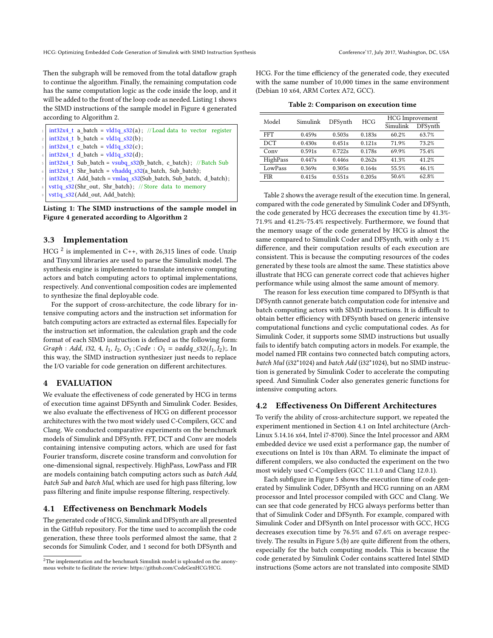Then the subgraph will be removed from the total dataflow graph to continue the algorithm. Finally, the remaining computation code has the same computation logic as the code inside the loop, and it will be added to the front of the loop code as needed. Listing 1 shows the SIMD instructions of the sample model in Figure [4](#page-3-0) generated according to Algorithm [2.](#page-3-1)

```
int32x4 t a batch = vld1q_s32(a); //Load data to vector register
int32x4 t b batch = vld1q s32(b);
int32x4_t c_b = vld1q_s32(c);
int32x4_t d_b batch = vld1q_s32(d);
int32x4_t Sub_batch = vsubq_s32(b_batch, c_batch); //Batch Sub
int32x4_t Shr_batch = vhaddq_s32(a_batch, Sub_batch);
int32x4 t Add batch = vmlaq_s32(Sub_batch, Sub_batch, d_batch) ;
vst1q_s32(Shr_out, Shr_batch); // Store data to memory
vst1q_s32(Add_out, Add_batch);
```
Listing 1: The SIMD instructions of the sample model in Figure [4](#page-3-0) generated according to Algorithm [2](#page-3-1)

## 3.3 Implementation

HCG  $^2$  $^2$  is implemented in C++, with 26,315 lines of code. Unzip and Tinyxml libraries are used to parse the Simulink model. The synthesis engine is implemented to translate intensive computing actors and batch computing actors to optimal implementations, respectively. And conventional composition codes are implemented to synthesize the final deployable code.

For the support of cross-architecture, the code library for intensive computing actors and the instruction set information for batch computing actors are extracted as external files. Especially for the instruction set information, the calculation graph and the code format of each SIMD instruction is defined as the following form:  $Graph : Add, i32, 4, I<sub>1</sub>, I<sub>2</sub>, O<sub>1</sub>; Code : O<sub>1</sub> = vaddg s32(I<sub>1</sub>, I<sub>2</sub>); In$ this way, the SIMD instruction synthesizer just needs to replace the I/O variable for code generation on different architectures.

## 4 EVALUATION

We evaluate the effectiveness of code generated by HCG in terms of execution time against DFSynth and Simulink Coder. Besides, we also evaluate the effectiveness of HCG on different processor architectures with the two most widely used C-Compilers, GCC and Clang. We conducted comparative experiments on the benchmark models of Simulink and DFSynth. FFT, DCT and Conv are models containing intensive computing actors, which are used for fast Fourier transform, discrete cosine transform and convolution for one-dimensional signal, respectively. HighPass, LowPass and FIR are models containing batch computing actors such as batch Add, batch Sub and batch Mul, which are used for high pass filtering, low pass filtering and finite impulse response filtering, respectively.

# <span id="page-4-2"></span>4.1 Effectiveness on Benchmark Models

The generated code of HCG, Simulink and DFSynth are all presented in the GitHub repository. For the time used to accomplish the code generation, these three tools performed almost the same, that 2 seconds for Simulink Coder, and 1 second for both DFSynth and HCG. For the time efficiency of the generated code, they executed with the same number of 10,000 times in the same environment (Debian 10 x64, ARM Cortex A72, GCC).

Table 2: Comparison on execution time

<span id="page-4-1"></span>

| Model      | Simulink | DFSynth | HCG    | <b>HCG</b> Improvement |         |
|------------|----------|---------|--------|------------------------|---------|
|            |          |         |        | Simulink               | DFSynth |
| FFT        | 0.459s   | 0.503s  | 0.183s | 60.2%                  | 63.7%   |
| DCT        | 0.430s   | 0.451s  | 0.121s | 719%                   | 73.2%   |
| Conv       | 0.591s   | 0.722s  | 0.178s | 69.9%                  | 75.4%   |
| HighPass   | 0.447s   | 0.446s  | 0.262s | 41.3%                  | 41.2%   |
| LowPass    | 0.369s   | 0.305s  | 0.164s | 55.5%                  | 46.1%   |
| <b>FIR</b> | 0.415s   | 0.551s  | 0.205s | 50.6%                  | 62.8%   |

Table [2](#page-4-1) shows the average result of the execution time. In general, compared with the code generated by Simulink Coder and DFSynth, the code generated by HCG decreases the execution time by 41.3%- 71.9% and 41.2%-75.4% respectively. Furthermore, we found that the memory usage of the code generated by HCG is almost the same compared to Simulink Coder and DFSynth, with only  $\pm 1\%$ difference, and their computation results of each execution are consistent. This is because the computing resources of the codes generated by these tools are almost the same. These statistics above illustrate that HCG can generate correct code that achieves higher performance while using almost the same amount of memory.

The reason for less execution time compared to DFSynth is that DFSynth cannot generate batch computation code for intensive and batch computing actors with SIMD instructions. It is difficult to obtain better efficiency with DFSynth based on generic intensive computational functions and cyclic computational codes. As for Simulink Coder, it supports some SIMD instructions but usually fails to identify batch computing actors in models. For example, the model named FIR contains two connected batch computing actors, batch Mul (i32\*1024) and batch Add (i32\*1024), but no SIMD instruction is generated by Simulink Coder to accelerate the computing speed. And Simulink Coder also generates generic functions for intensive computing actors.

## 4.2 Effectiveness On Different Architectures

To verify the ability of cross-architecture support, we repeated the experiment mentioned in Section [4.1](#page-4-2) on Intel architecture (Arch-Linux 5.14.16 x64, Intel i7-8700). Since the Intel processor and ARM embedded device we used exist a performance gap, the number of executions on Intel is 10x than ARM. To eliminate the impact of different compilers, we also conducted the experiment on the two most widely used C-Compilers (GCC 11.1.0 and Clang 12.0.1).

Each subfigure in Figure [5](#page-5-19) shows the execution time of code generated by Simulink Coder, DFSynth and HCG running on an ARM processor and Intel processor compiled with GCC and Clang. We can see that code generated by HCG always performs better than that of Simulink Coder and DFSynth. For example, compared with Simulink Coder and DFSynth on Intel processor with GCC, HCG decreases execution time by 76.5% and 67.6% on average respectively. The results in Figure [5.](#page-5-19)(b) are quite different from the others, especially for the batch computing models. This is because the code generated by Simulink Coder contains scattered Intel SIMD instructions (Some actors are not translated into composite SIMD

<span id="page-4-0"></span><sup>&</sup>lt;sup>2</sup>The implementation and the benchmark Simulink model is uploaded on the anonymous website to facilitate the review: [https://github.com/CodeGenHCG/HCG.](https://github.com/CodeGenHCG/HCG)